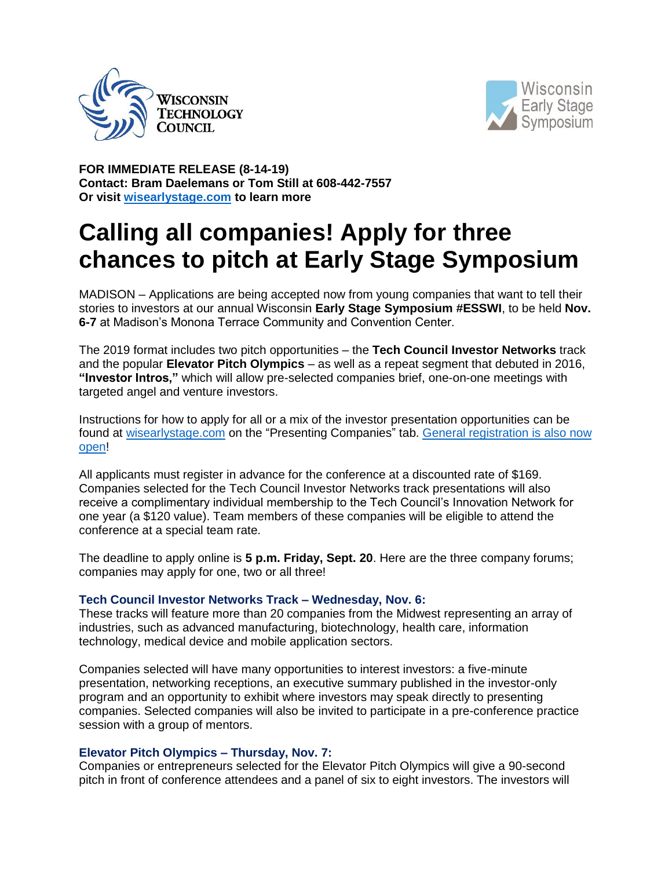



**FOR IMMEDIATE RELEASE (8-14-19) Contact: Bram Daelemans or Tom Still at 608-442-7557 Or visit [wisearlystage.com](http://bit.ly/ESSWI19) to learn more**

## **Calling all companies! Apply for three chances to pitch at Early Stage Symposium**

MADISON – Applications are being accepted now from young companies that want to tell their stories to investors at our annual Wisconsin **Early Stage Symposium #ESSWI**, to be held **Nov. 6-7** at Madison's Monona Terrace Community and Convention Center.

The 2019 format includes two pitch opportunities – the **Tech Council Investor Networks** track and the popular **Elevator Pitch Olympics** – as well as a repeat segment that debuted in 2016, **"Investor Intros,"** which will allow pre-selected companies brief, one-on-one meetings with targeted angel and venture investors.

Instructions for how to apply for all or a mix of the investor presentation opportunities can be found at [wisearlystage.com](http://bit.ly/ESSWI2019) on the "Presenting Companies" tab. [General registration is also now](http://bit.ly/ESSWI19)  [open!](http://bit.ly/ESSWI19)

All applicants must register in advance for the conference at a discounted rate of \$169. Companies selected for the Tech Council Investor Networks track presentations will also receive a complimentary individual membership to the Tech Council's Innovation Network for one year (a \$120 value). Team members of these companies will be eligible to attend the conference at a special team rate.

The deadline to apply online is **5 p.m. Friday, Sept. 20**. Here are the three company forums; companies may apply for one, two or all three!

## **Tech Council Investor Networks Track – Wednesday, Nov. 6:**

These tracks will feature more than 20 companies from the Midwest representing an array of industries, such as advanced manufacturing, biotechnology, health care, information technology, medical device and mobile application sectors.

Companies selected will have many opportunities to interest investors: a five-minute presentation, networking receptions, an executive summary published in the investor-only program and an opportunity to exhibit where investors may speak directly to presenting companies. Selected companies will also be invited to participate in a pre-conference practice session with a group of mentors.

## **Elevator Pitch Olympics – Thursday, Nov. 7:**

Companies or entrepreneurs selected for the Elevator Pitch Olympics will give a 90-second pitch in front of conference attendees and a panel of six to eight investors. The investors will